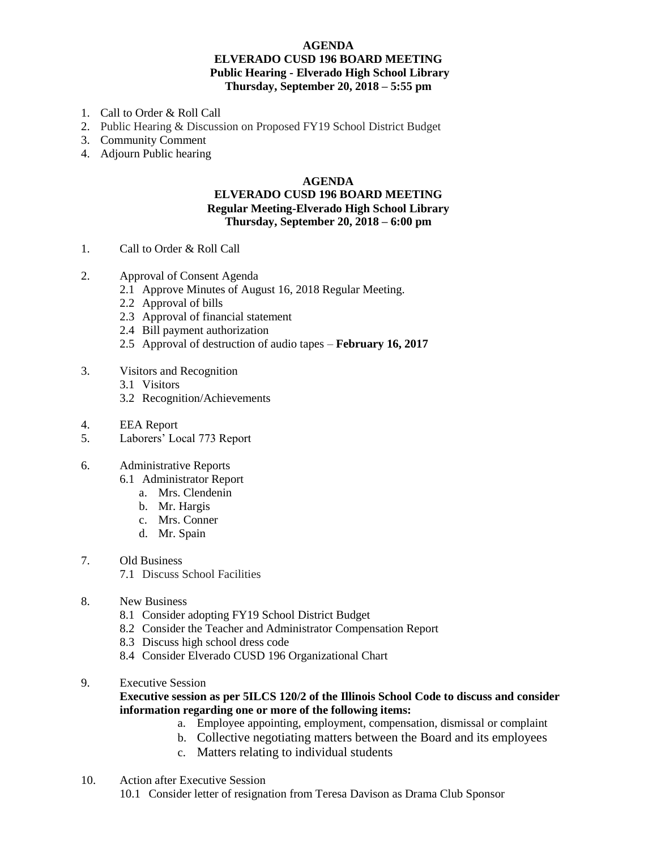## **AGENDA ELVERADO CUSD 196 BOARD MEETING Public Hearing - Elverado High School Library Thursday, September 20, 2018 – 5:55 pm**

- 1. Call to Order & Roll Call
- 2. Public Hearing & Discussion on Proposed FY19 School District Budget
- 3. Community Comment
- 4. Adjourn Public hearing

## **AGENDA**

## **ELVERADO CUSD 196 BOARD MEETING Regular Meeting-Elverado High School Library Thursday, September 20, 2018 – 6:00 pm**

- 1. Call to Order & Roll Call
- 2. Approval of Consent Agenda
	- 2.1 Approve Minutes of August 16, 2018 Regular Meeting.
	- 2.2 Approval of bills
	- 2.3 Approval of financial statement
	- 2.4 Bill payment authorization
	- 2.5 Approval of destruction of audio tapes **February 16, 2017**
- 3. Visitors and Recognition
	- 3.1 Visitors
	- 3.2 Recognition/Achievements
- 4. EEA Report
- 5. Laborers' Local 773 Report
- 6. Administrative Reports
	- 6.1 Administrator Report
		- a. Mrs. Clendenin
		- b. Mr. Hargis
		- c. Mrs. Conner
		- d. Mr. Spain
- 7. Old Business
	- 7.1 Discuss School Facilities
- 8. New Business
	- 8.1 Consider adopting FY19 School District Budget
	- 8.2 Consider the Teacher and Administrator Compensation Report
	- 8.3 Discuss high school dress code
	- 8.4 Consider Elverado CUSD 196 Organizational Chart
- 9. Executive Session

## **Executive session as per 5ILCS 120/2 of the Illinois School Code to discuss and consider information regarding one or more of the following items:**

- a. Employee appointing, employment, compensation, dismissal or complaint
- b. Collective negotiating matters between the Board and its employees
- c. Matters relating to individual students
- 10. Action after Executive Session
	- 10.1 Consider letter of resignation from Teresa Davison as Drama Club Sponsor